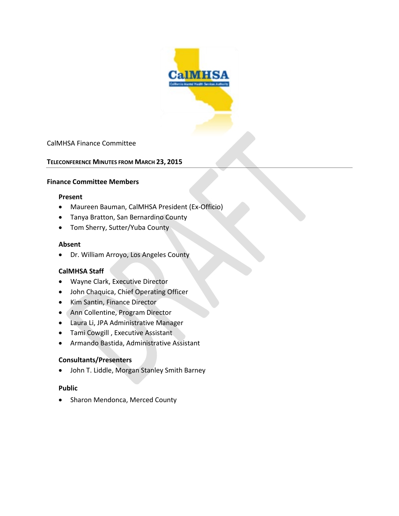

### CalMHSA Finance Committee

### **TELECONFERENCE MINUTES FROM MARCH 23, 2015**

#### **Finance Committee Members**

#### **Present**

- Maureen Bauman, CalMHSA President (Ex-Officio)
- Tanya Bratton, San Bernardino County
- Tom Sherry, Sutter/Yuba County

#### **Absent**

• Dr. William Arroyo, Los Angeles County

### **CalMHSA Staff**

- Wayne Clark, Executive Director
- John Chaquica, Chief Operating Officer
- Kim Santin, Finance Director
- Ann Collentine, Program Director
- Laura Li, JPA Administrative Manager
- Tami Cowgill , Executive Assistant
- Armando Bastida, Administrative Assistant

### **Consultants/Presenters**

• John T. Liddle, Morgan Stanley Smith Barney

### **Public**

• Sharon Mendonca, Merced County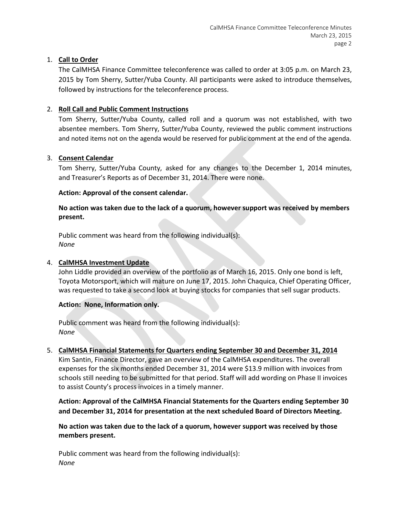## 1. **Call to Order**

The CalMHSA Finance Committee teleconference was called to order at 3:05 p.m. on March 23, 2015 by Tom Sherry, Sutter/Yuba County. All participants were asked to introduce themselves, followed by instructions for the teleconference process.

## 2. **Roll Call and Public Comment Instructions**

Tom Sherry, Sutter/Yuba County, called roll and a quorum was not established, with two absentee members. Tom Sherry, Sutter/Yuba County, reviewed the public comment instructions and noted items not on the agenda would be reserved for public comment at the end of the agenda.

## 3. **Consent Calendar**

Tom Sherry, Sutter/Yuba County, asked for any changes to the December 1, 2014 minutes, and Treasurer's Reports as of December 31, 2014. There were none.

### **Action: Approval of the consent calendar.**

## **No action was taken due to the lack of a quorum, however support was received by members present.**

Public comment was heard from the following individual(s): *None*

### 4. **CalMHSA Investment Update**

John Liddle provided an overview of the portfolio as of March 16, 2015. Only one bond is left, Toyota Motorsport, which will mature on June 17, 2015. John Chaquica, Chief Operating Officer, was requested to take a second look at buying stocks for companies that sell sugar products.

### **Action: None, Information only.**

Public comment was heard from the following individual(s): *None*

## 5. **CalMHSA Financial Statements for Quarters ending September 30 and December 31, 2014** Kim Santin, Finance Director, gave an overview of the CalMHSA expenditures. The overall expenses for the six months ended December 31, 2014 were \$13.9 million with invoices from schools still needing to be submitted for that period. Staff will add wording on Phase II invoices to assist County's process invoices in a timely manner.

**Action: Approval of the CalMHSA Financial Statements for the Quarters ending September 30 and December 31, 2014 for presentation at the next scheduled Board of Directors Meeting.**

**No action was taken due to the lack of a quorum, however support was received by those members present.**

Public comment was heard from the following individual(s): *None*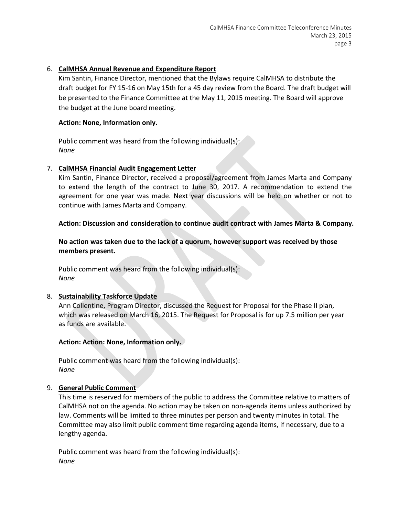### 6. **CalMHSA Annual Revenue and Expenditure Report**

Kim Santin, Finance Director, mentioned that the Bylaws require CalMHSA to distribute the draft budget for FY 15-16 on May 15th for a 45 day review from the Board. The draft budget will be presented to the Finance Committee at the May 11, 2015 meeting. The Board will approve the budget at the June board meeting.

### **Action: None, Information only.**

Public comment was heard from the following individual(s): *None*

### 7. **CalMHSA Financial Audit Engagement Letter**

Kim Santin, Finance Director, received a proposal/agreement from James Marta and Company to extend the length of the contract to June 30, 2017. A recommendation to extend the agreement for one year was made. Next year discussions will be held on whether or not to continue with James Marta and Company.

### **Action: Discussion and consideration to continue audit contract with James Marta & Company.**

**No action was taken due to the lack of a quorum, however support was received by those members present.**

Public comment was heard from the following individual(s): *None*

### 8. **Sustainability Taskforce Update**

Ann Collentine, Program Director, discussed the Request for Proposal for the Phase II plan, which was released on March 16, 2015. The Request for Proposal is for up 7.5 million per year as funds are available.

### **Action: Action: None, Information only.**

Public comment was heard from the following individual(s): *None*

### 9. **General Public Comment**

This time is reserved for members of the public to address the Committee relative to matters of CalMHSA not on the agenda. No action may be taken on non-agenda items unless authorized by law. Comments will be limited to three minutes per person and twenty minutes in total. The Committee may also limit public comment time regarding agenda items, if necessary, due to a lengthy agenda.

Public comment was heard from the following individual(s): *None*